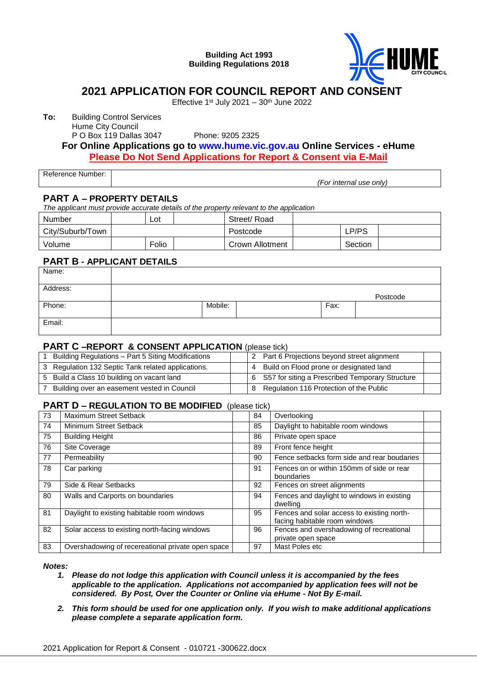#### **Building Act 1993 Building Regulations 2018**



# **2021 APPLICATION FOR COUNCIL REPORT AND CONSENT**

Effective  $1<sup>st</sup>$  July 2021 –  $30<sup>th</sup>$  June 2022

**To:** Building Control Services

Hume City Council

P O Box 119 Dallas 3047 Phone: 9205 2325

## **For Online Applications go to [www.hume.vic.gov.au](http://www.hume.vic.gov.au/) Online Services - eHume Please Do Not Send Applications for Report & Consent via E-Mail**

Reference Number:

*(For internal use only)*

#### **PART A – PROPERTY DETAILS**

*The applicant must provide accurate details of the property relevant to the application*

| Number           | Lot   | Street/ Road    |         |  |
|------------------|-------|-----------------|---------|--|
| City/Suburb/Town |       | Postcode        | ∟P/PS   |  |
| Volume           | Folio | Crown Allotment | Section |  |

#### **PART B - APPLICANT DETAILS**

| Name:    |         |      |          |
|----------|---------|------|----------|
| Address: |         |      | Postcode |
| Phone:   | Mobile: | Fax: |          |
| Email:   |         |      |          |

#### **PART C –REPORT & CONSENT APPLICATION** (please tick)

| Building Regulations - Part 5 Siting Modifications |     | 2 Part 6 Projections beyond street alignment      |  |
|----------------------------------------------------|-----|---------------------------------------------------|--|
| 3 Regulation 132 Septic Tank related applications. | . 4 | Build on Flood prone or designated land           |  |
| 5 Build a Class 10 building on vacant land         |     | 6 S57 for siting a Prescribed Temporary Structure |  |
| Building over an easement vested in Council        |     | Regulation 116 Protection of the Public           |  |

#### **PART D – REGULATION TO BE MODIFIED** (please tick)

| 73 | Maximum Street Setback                            | 84 | Overlooking                                                                 |  |
|----|---------------------------------------------------|----|-----------------------------------------------------------------------------|--|
| 74 | Minimum Street Setback                            | 85 | Daylight to habitable room windows                                          |  |
| 75 | <b>Building Height</b>                            | 86 | Private open space                                                          |  |
| 76 | Site Coverage                                     | 89 | Front fence height                                                          |  |
| 77 | Permeability                                      | 90 | Fence setbacks form side and rear boudaries                                 |  |
| 78 | Car parking                                       | 91 | Fences on or within 150mm of side or rear<br>boundaries                     |  |
| 79 | Side & Rear Setbacks                              | 92 | Fences on street alignments                                                 |  |
| 80 | Walls and Carports on boundaries                  | 94 | Fences and daylight to windows in existing<br>dwelling                      |  |
| 81 | Daylight to existing habitable room windows       | 95 | Fences and solar access to existing north-<br>facing habitable room windows |  |
| 82 | Solar access to existing north-facing windows     | 96 | Fences and overshadowing of recreational                                    |  |
|    |                                                   |    | private open space                                                          |  |
| 83 | Overshadowing of recereational private open space | 97 | Mast Poles etc                                                              |  |

*Notes:*

- *1. Please do not lodge this application with Council unless it is accompanied by the fees applicable to the application. Applications not accompanied by application fees will not be considered. By Post, Over the Counter or Online via eHume - Not By E-mail.*
- *2. This form should be used for one application only. If you wish to make additional applications please complete a separate application form.*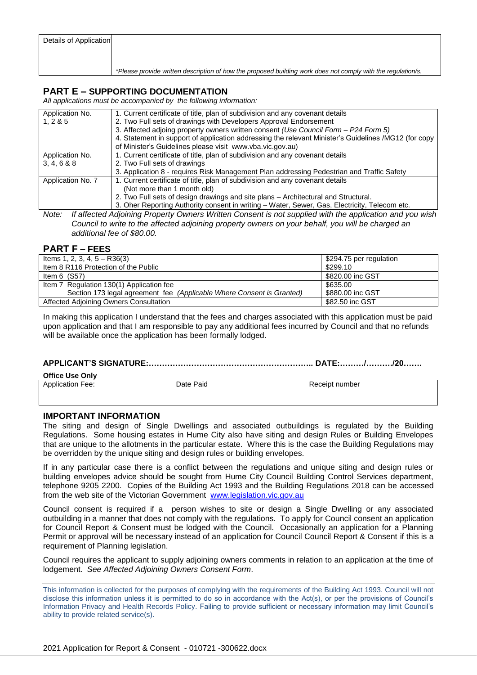| Details of Application |                                                                                                              |
|------------------------|--------------------------------------------------------------------------------------------------------------|
|                        |                                                                                                              |
|                        |                                                                                                              |
|                        | *Please provide written description of how the proposed building work does not comply with the regulation/s. |

## **PART E – SUPPORTING DOCUMENTATION**

*All applications must be accompanied by the following information:*

| Application No.   | 1. Current certificate of title, plan of subdivision and any covenant details                        |
|-------------------|------------------------------------------------------------------------------------------------------|
| 1, 2 & 8 & 5      | 2. Two Full sets of drawings with Developers Approval Endorsement                                    |
|                   | 3. Affected adjoing property owners written consent (Use Council Form - P24 Form 5)                  |
|                   | 4. Statement in support of application addressing the relevant Minister's Guidelines /MG12 (for copy |
|                   | of Minister's Guidelines please visit www.vba.vic.gov.au)                                            |
| Application No.   | 1. Current certificate of title, plan of subdivision and any covenant details                        |
| 3, 4, 6 & 8       | 2. Two Full sets of drawings                                                                         |
|                   | 3. Application 8 - requires Risk Management Plan addressing Pedestrian and Traffic Safety            |
| Application No. 7 | 1. Current certificate of title, plan of subdivision and any covenant details                        |
|                   | (Not more than 1 month old)                                                                          |
|                   | 2. Two Full sets of design drawings and site plans – Architectural and Structural.                   |
|                   | 3. Oher Reporting Authority consent in writing - Water, Sewer, Gas, Electricity, Telecom etc.        |

*Note: If affected Adjoining Property Owners Written Consent is not supplied with the application and you wish Council to write to the affected adjoining property owners on your behalf, you will be charged an additional fee of \$80.00.*

#### **PART F – FEES**

| Items 1, 2, 3, 4, $5 - R36(3)$                                        | \$294.75 per regulation |
|-----------------------------------------------------------------------|-------------------------|
| Item 8 R116 Protection of the Public                                  | \$299.10                |
| Item $6$ (S57)                                                        | \$820.00 inc GST        |
| Item 7 Regulation 130(1) Application fee                              | \$635.00                |
| Section 173 legal agreement fee (Applicable Where Consent is Granted) | \$880.00 inc GST        |
| Affected Adjoining Owners Consultation                                | \$82.50 inc GST         |

In making this application I understand that the fees and charges associated with this application must be paid upon application and that I am responsible to pay any additional fees incurred by Council and that no refunds will be available once the application has been formally lodged.

#### **APPLICANT'S SIGNATURE:…………………………………………………….. DATE:………/………./20…….**

| <b>Office Use Only</b>  |           |                |  |  |  |  |  |  |
|-------------------------|-----------|----------------|--|--|--|--|--|--|
| <b>Application Fee:</b> | Date Paid | Receipt number |  |  |  |  |  |  |

#### **IMPORTANT INFORMATION**

The siting and design of Single Dwellings and associated outbuildings is regulated by the Building Regulations. Some housing estates in Hume City also have siting and design Rules or Building Envelopes that are unique to the allotments in the particular estate. Where this is the case the Building Regulations may be overridden by the unique siting and design rules or building envelopes.

If in any particular case there is a conflict between the regulations and unique siting and design rules or building envelopes advice should be sought from Hume City Council Building Control Services department, telephone 9205 2200. Copies of the Building Act 1993 and the Building Regulations 2018 can be accessed from the web site of the Victorian Government [www.legislation.vic.gov.au](http://www.legislation.vic.gov.au/)

Council consent is required if a person wishes to site or design a Single Dwelling or any associated outbuilding in a manner that does not comply with the regulations. To apply for Council consent an application for Council Report & Consent must be lodged with the Council. Occasionally an application for a Planning Permit or approval will be necessary instead of an application for Council Council Report & Consent if this is a requirement of Planning legislation.

Council requires the applicant to supply adjoining owners comments in relation to an application at the time of lodgement. *See Affected Adjoining Owners Consent Form*.

This information is collected for the purposes of complying with the requirements of the Building Act 1993. Council will not disclose this information unless it is permitted to do so in accordance with the Act(s), or per the provisions of Council's Information Privacy and Health Records Policy. Failing to provide sufficient or necessary information may limit Council's ability to provide related service(s).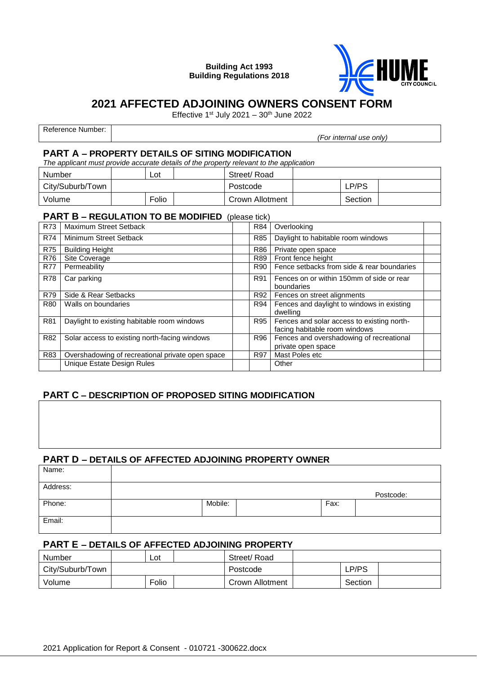**Building Act 1993 Building Regulations 2018**



# **2021 AFFECTED ADJOINING OWNERS CONSENT FORM**

Effective 1st July 2021 –  $30<sup>th</sup>$  June 2022

Reference Number: *(For internal use only)*

#### **PART A – PROPERTY DETAILS OF SITING MODIFICATION**

*The applicant must provide accurate details of the property relevant to the application*

| Number           | Lot      | Street/Road     |         |  |
|------------------|----------|-----------------|---------|--|
| City/Suburb/Town |          | Postcode        | LP/PS   |  |
| Volume           | $F$ olio | Crown Allotment | Section |  |

#### **PART B – REGULATION TO BE MODIFIED** (please tick)

| R73        | Maximum Street Setback                           | R84        | Overlooking                                                                 |  |
|------------|--------------------------------------------------|------------|-----------------------------------------------------------------------------|--|
| <b>R74</b> | Minimum Street Setback                           | <b>R85</b> | Daylight to habitable room windows                                          |  |
| <b>R75</b> | <b>Building Height</b>                           | R86        | Private open space                                                          |  |
| R76        | Site Coverage                                    | R89        | Front fence height                                                          |  |
| <b>R77</b> | Permeability                                     | R90        | Fence setbacks from side & rear boundaries                                  |  |
| <b>R78</b> | Car parking                                      | R91        | Fences on or within 150mm of side or rear<br>boundaries                     |  |
| <b>R79</b> | Side & Rear Setbacks                             | R92        | Fences on street alignments                                                 |  |
| R80        | Walls on boundaries                              | R94        | Fences and daylight to windows in existing<br>dwelling                      |  |
| R81        | Daylight to existing habitable room windows      | R95        | Fences and solar access to existing north-<br>facing habitable room windows |  |
| R82        | Solar access to existing north-facing windows    | R96        | Fences and overshadowing of recreational                                    |  |
|            |                                                  |            | private open space                                                          |  |
| R83        | Overshadowing of recreational private open space | R97        | Mast Poles etc                                                              |  |
|            | <b>Unique Estate Design Rules</b>                |            | Other                                                                       |  |

# **PART C – DESCRIPTION OF PROPOSED SITING MODIFICATION**

#### **PART D – DETAILS OF AFFECTED ADJOINING PROPERTY OWNER**

| Name:    |         |      |           |
|----------|---------|------|-----------|
| Address: |         |      | Postcode: |
| Phone:   | Mobile: | Fax: |           |
| Email:   |         |      |           |

#### **PART E – DETAILS OF AFFECTED ADJOINING PROPERTY**

| Number           | Lot   | Street/Road     |         |  |
|------------------|-------|-----------------|---------|--|
| City/Suburb/Town |       | Postcode        | LP/PS   |  |
| Volume           | Folio | Crown Allotment | Section |  |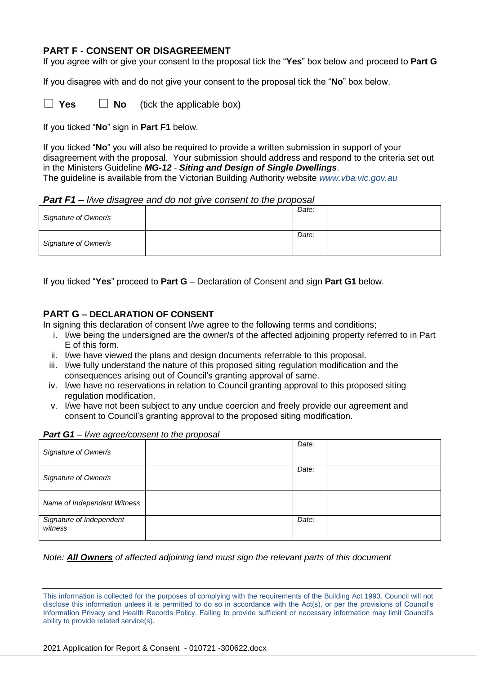## **PART F - CONSENT OR DISAGREEMENT**

If you agree with or give your consent to the proposal tick the "**Yes**" box below and proceed to **Part G**

If you disagree with and do not give your consent to the proposal tick the "**No**" box below.

 $\Box$  **Yes**  $\Box$  **No** (tick the applicable box)

If you ticked "**No**" sign in **Part F1** below.

If you ticked "**No**" you will also be required to provide a written submission in support of your disagreement with the proposal. Your submission should address and respond to the criteria set out in the Ministers Guideline *MG-12* - *Siting and Design of Single Dwellings*. The guideline is available from the Victorian Building Authority website *www.vba.vic.gov.au*

#### *Part F1 – I/we disagree and do not give consent to the proposal*

| Signature of Owner/s | Date: |  |
|----------------------|-------|--|
| Signature of Owner/s | Date: |  |

If you ticked "**Yes**" proceed to **Part G** – Declaration of Consent and sign **Part G1** below.

#### **PART G – DECLARATION OF CONSENT**

In signing this declaration of consent I/we agree to the following terms and conditions;

- i. I/we being the undersigned are the owner/s of the affected adjoining property referred to in Part E of this form.
- ii. I/we have viewed the plans and design documents referrable to this proposal.
- iii. I/we fully understand the nature of this proposed siting regulation modification and the consequences arising out of Council's granting approval of same.
- iv. I/we have no reservations in relation to Council granting approval to this proposed siting regulation modification.
- v. I/we have not been subject to any undue coercion and freely provide our agreement and consent to Council's granting approval to the proposed siting modification.

| Signature of Owner/s                | Date: |  |
|-------------------------------------|-------|--|
| Signature of Owner/s                | Date: |  |
| Name of Independent Witness         |       |  |
| Signature of Independent<br>witness | Date: |  |

# *Part G1 – I/we agree/consent to the proposal*

#### *Note: All Owners of affected adjoining land must sign the relevant parts of this document*

This information is collected for the purposes of complying with the requirements of the Building Act 1993. Council will not disclose this information unless it is permitted to do so in accordance with the Act(s), or per the provisions of Council's Information Privacy and Health Records Policy. Failing to provide sufficient or necessary information may limit Council's ability to provide related service(s).